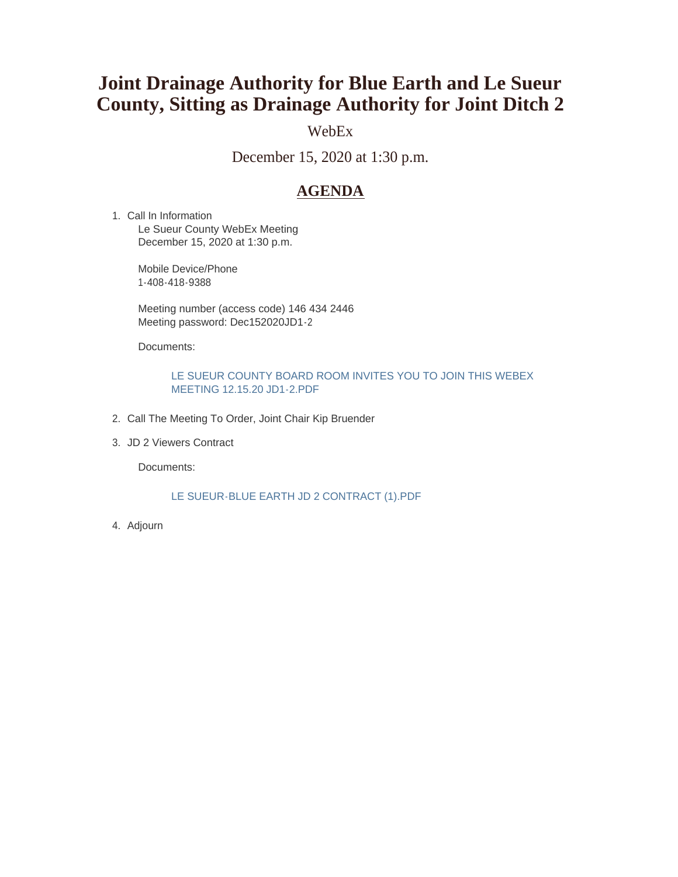# **Joint Drainage Authority for Blue Earth and Le Sueur County, Sitting as Drainage Authority for Joint Ditch 2**

# WebEx

December 15, 2020 at 1:30 p.m.

# **AGENDA**

1. Call In Information Le Sueur County WebEx Meeting December 15, 2020 at 1:30 p.m.

> Mobile Device/Phone 1-408-418-9388

Meeting number (access code) 146 434 2446 Meeting password: Dec152020JD1-2

Documents:

#### LE SUEUR COUNTY BOARD ROOM INVITES YOU TO JOIN THIS WEBEX MEETING 12.15.20 JD1-2.PDF

- 2. Call The Meeting To Order, Joint Chair Kip Bruender
- JD 2 Viewers Contract 3.

Documents:

#### LE SUEUR-BLUE EARTH JD 2 CONTRACT (1).PDF

Adjourn 4.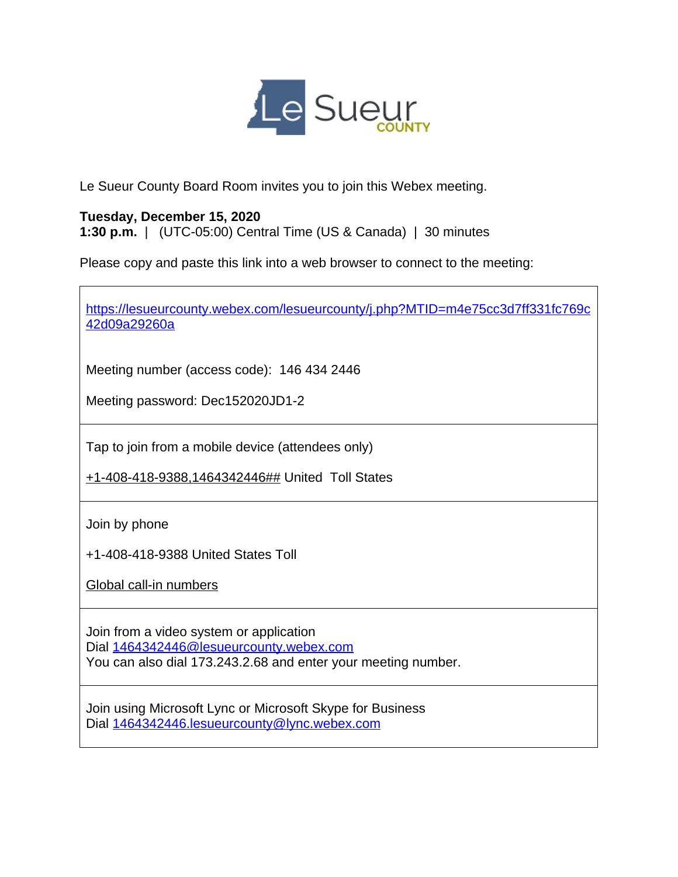

Le Sueur County Board Room invites you to join this Webex meeting.

# **Tuesday, December 15, 2020**

**1:30 p.m.** | (UTC-05:00) Central Time (US & Canada) | 30 minutes

Please copy and paste this link into a web browser to connect to the meeting:

| https://lesueurcounty.webex.com/lesueurcounty/j.php?MTID=m4e75cc3d7ff331fc769c<br>42d09a29260a                                                      |
|-----------------------------------------------------------------------------------------------------------------------------------------------------|
| Meeting number (access code): 146 434 2446<br>Meeting password: Dec152020JD1-2                                                                      |
| Tap to join from a mobile device (attendees only)<br>+1-408-418-9388,1464342446## United Toll States                                                |
| Join by phone<br>+1-408-418-9388 United States Toll<br>Global call-in numbers                                                                       |
| Join from a video system or application<br>Dial 1464342446@lesueurcounty.webex.com<br>You can also dial 173.243.2.68 and enter your meeting number. |
| Join using Microsoft Lync or Microsoft Skype for Business<br>Dial 1464342446.lesueurcounty@lync.webex.com                                           |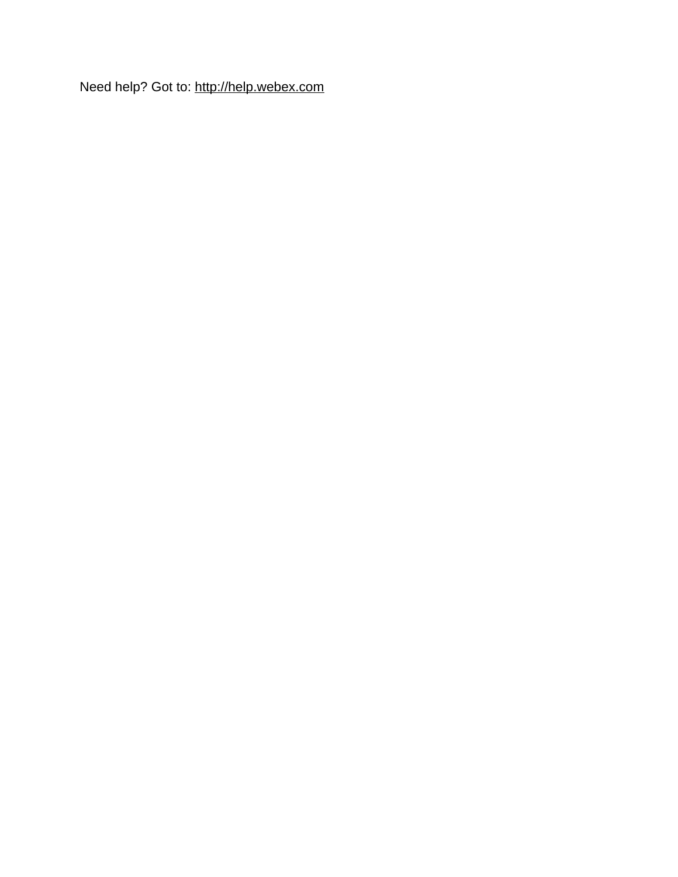Need help? Got to:<http://help.webex.com>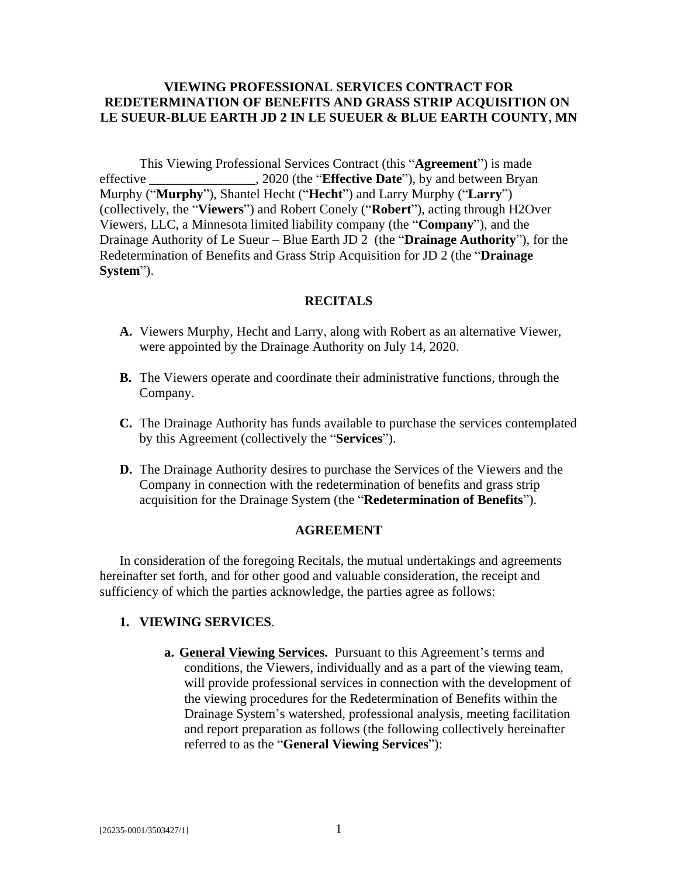## **VIEWING PROFESSIONAL SERVICES CONTRACT FOR REDETERMINATION OF BENEFITS AND GRASS STRIP ACQUISITION ON LE SUEUR-BLUE EARTH JD 2 IN LE SUEUER & BLUE EARTH COUNTY, MN**

This Viewing Professional Services Contract (this "**Agreement**") is made effective \_\_\_\_\_\_\_\_\_\_\_\_\_\_\_\_, 2020 (the "**Effective Date**"), by and between Bryan Murphy ("**Murphy**"), Shantel Hecht ("**Hecht**") and Larry Murphy ("**Larry**") (collectively, the "**Viewers**") and Robert Conely ("**Robert**"), acting through H2Over Viewers, LLC, a Minnesota limited liability company (the "**Company**"), and the Drainage Authority of Le Sueur – Blue Earth JD 2 (the "**Drainage Authority**"), for the Redetermination of Benefits and Grass Strip Acquisition for JD 2 (the "**Drainage System**").

## **RECITALS**

- **A.** Viewers Murphy, Hecht and Larry, along with Robert as an alternative Viewer, were appointed by the Drainage Authority on July 14, 2020.
- **B.** The Viewers operate and coordinate their administrative functions, through the Company.
- **C.** The Drainage Authority has funds available to purchase the services contemplated by this Agreement (collectively the "**Services**").
- **D.** The Drainage Authority desires to purchase the Services of the Viewers and the Company in connection with the redetermination of benefits and grass strip acquisition for the Drainage System (the "**Redetermination of Benefits**").

#### **AGREEMENT**

In consideration of the foregoing Recitals, the mutual undertakings and agreements hereinafter set forth, and for other good and valuable consideration, the receipt and sufficiency of which the parties acknowledge, the parties agree as follows:

#### **1. VIEWING SERVICES**.

**a. General Viewing Services.** Pursuant to this Agreement's terms and conditions, the Viewers, individually and as a part of the viewing team, will provide professional services in connection with the development of the viewing procedures for the Redetermination of Benefits within the Drainage System's watershed, professional analysis, meeting facilitation and report preparation as follows (the following collectively hereinafter referred to as the "**General Viewing Services**"):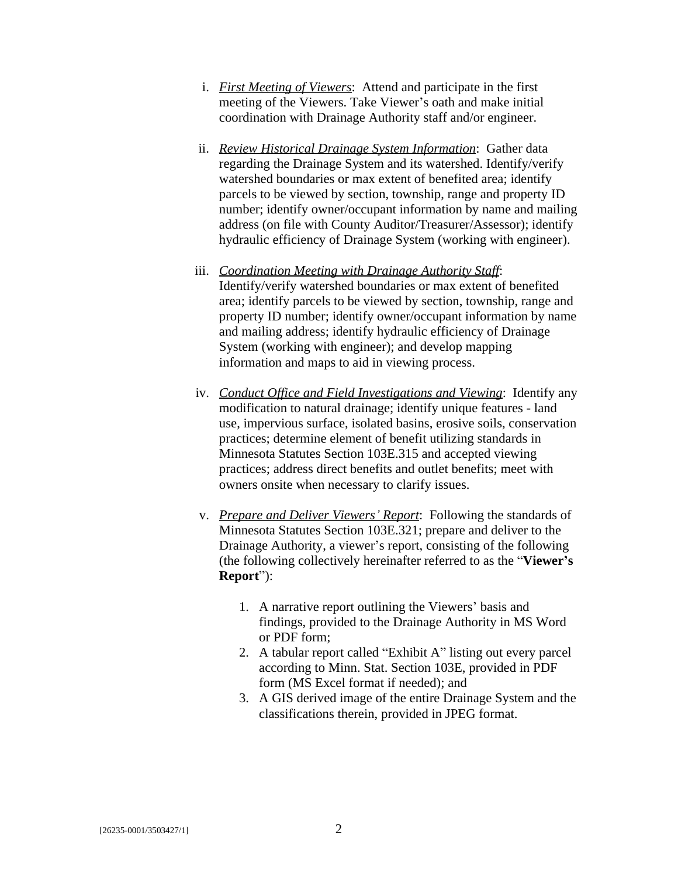- i. *First Meeting of Viewers*: Attend and participate in the first meeting of the Viewers. Take Viewer's oath and make initial coordination with Drainage Authority staff and/or engineer.
- ii. *Review Historical Drainage System Information*: Gather data regarding the Drainage System and its watershed. Identify/verify watershed boundaries or max extent of benefited area; identify parcels to be viewed by section, township, range and property ID number; identify owner/occupant information by name and mailing address (on file with County Auditor/Treasurer/Assessor); identify hydraulic efficiency of Drainage System (working with engineer).
- iii. *Coordination Meeting with Drainage Authority Staff*: Identify/verify watershed boundaries or max extent of benefited area; identify parcels to be viewed by section, township, range and property ID number; identify owner/occupant information by name and mailing address; identify hydraulic efficiency of Drainage System (working with engineer); and develop mapping information and maps to aid in viewing process.
- iv. *Conduct Office and Field Investigations and Viewing*: Identify any modification to natural drainage; identify unique features - land use, impervious surface, isolated basins, erosive soils, conservation practices; determine element of benefit utilizing standards in Minnesota Statutes Section 103E.315 and accepted viewing practices; address direct benefits and outlet benefits; meet with owners onsite when necessary to clarify issues.
- v. *Prepare and Deliver Viewers' Report*: Following the standards of Minnesota Statutes Section 103E.321; prepare and deliver to the Drainage Authority, a viewer's report, consisting of the following (the following collectively hereinafter referred to as the "**Viewer's Report**"):
	- 1. A narrative report outlining the Viewers' basis and findings, provided to the Drainage Authority in MS Word or PDF form;
	- 2. A tabular report called "Exhibit A" listing out every parcel according to Minn. Stat. Section 103E, provided in PDF form (MS Excel format if needed); and
	- 3. A GIS derived image of the entire Drainage System and the classifications therein, provided in JPEG format.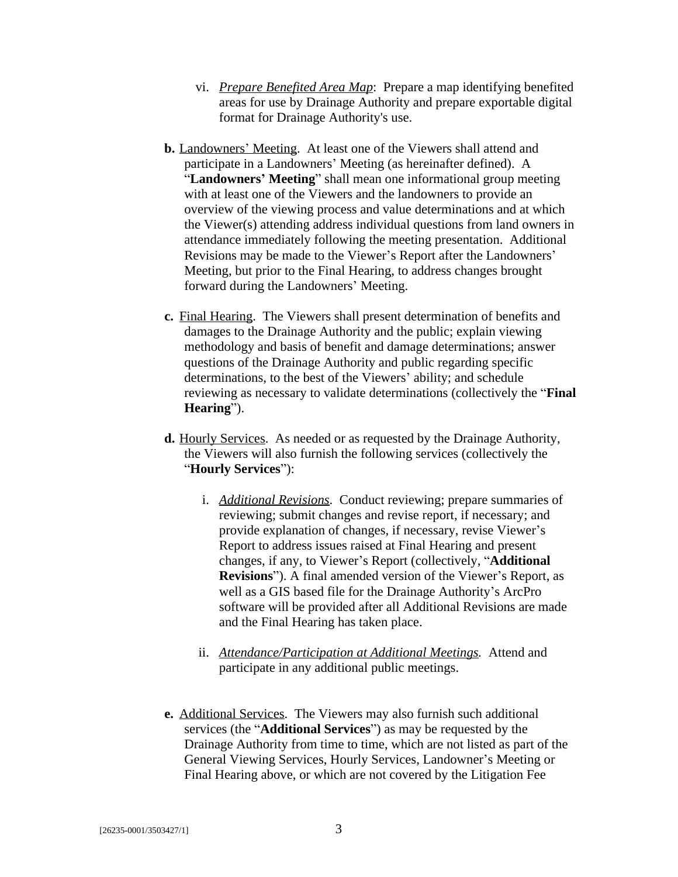- vi. *Prepare Benefited Area Map*: Prepare a map identifying benefited areas for use by Drainage Authority and prepare exportable digital format for Drainage Authority's use.
- **b.** Landowners' Meeting. At least one of the Viewers shall attend and participate in a Landowners' Meeting (as hereinafter defined). A "**Landowners' Meeting**" shall mean one informational group meeting with at least one of the Viewers and the landowners to provide an overview of the viewing process and value determinations and at which the Viewer(s) attending address individual questions from land owners in attendance immediately following the meeting presentation. Additional Revisions may be made to the Viewer's Report after the Landowners' Meeting, but prior to the Final Hearing, to address changes brought forward during the Landowners' Meeting.
- **c.** Final Hearing. The Viewers shall present determination of benefits and damages to the Drainage Authority and the public; explain viewing methodology and basis of benefit and damage determinations; answer questions of the Drainage Authority and public regarding specific determinations, to the best of the Viewers' ability; and schedule reviewing as necessary to validate determinations (collectively the "**Final Hearing**").
- **d.** Hourly Services. As needed or as requested by the Drainage Authority, the Viewers will also furnish the following services (collectively the "**Hourly Services**"):
	- i. *Additional Revisions*. Conduct reviewing; prepare summaries of reviewing; submit changes and revise report, if necessary; and provide explanation of changes, if necessary, revise Viewer's Report to address issues raised at Final Hearing and present changes, if any, to Viewer's Report (collectively, "**Additional Revisions**"). A final amended version of the Viewer's Report, as well as a GIS based file for the Drainage Authority's ArcPro software will be provided after all Additional Revisions are made and the Final Hearing has taken place.
	- ii. *Attendance/Participation at Additional Meetings.* Attend and participate in any additional public meetings.
- **e.** Additional Services. The Viewers may also furnish such additional services (the "**Additional Services**") as may be requested by the Drainage Authority from time to time, which are not listed as part of the General Viewing Services, Hourly Services, Landowner's Meeting or Final Hearing above, or which are not covered by the Litigation Fee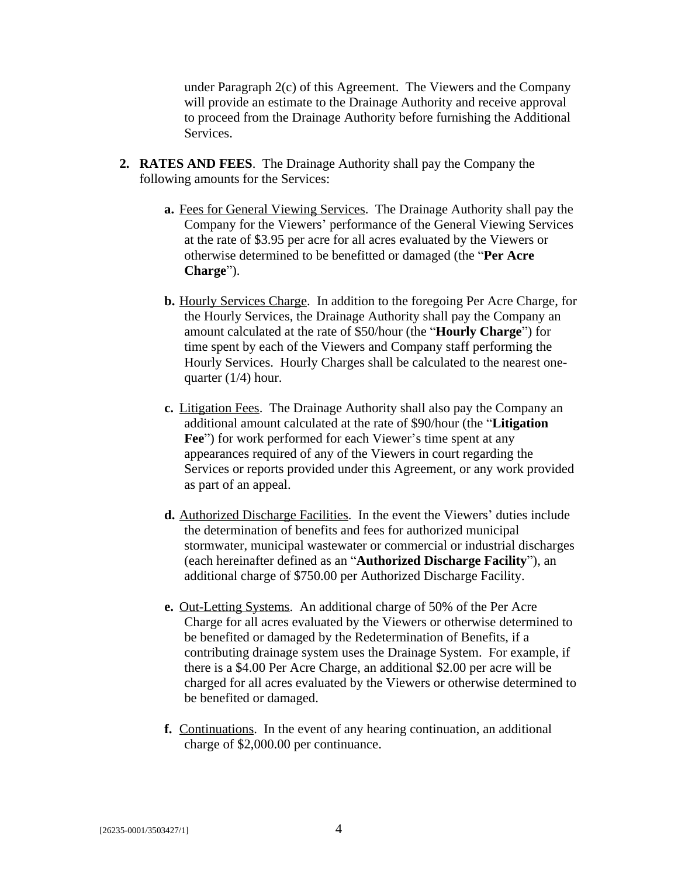under Paragraph 2(c) of this Agreement. The Viewers and the Company will provide an estimate to the Drainage Authority and receive approval to proceed from the Drainage Authority before furnishing the Additional Services.

- **2. RATES AND FEES**. The Drainage Authority shall pay the Company the following amounts for the Services:
	- **a.** Fees for General Viewing Services. The Drainage Authority shall pay the Company for the Viewers' performance of the General Viewing Services at the rate of \$3.95 per acre for all acres evaluated by the Viewers or otherwise determined to be benefitted or damaged (the "**Per Acre Charge**").
	- **b.** Hourly Services Charge. In addition to the foregoing Per Acre Charge, for the Hourly Services, the Drainage Authority shall pay the Company an amount calculated at the rate of \$50/hour (the "**Hourly Charge**") for time spent by each of the Viewers and Company staff performing the Hourly Services. Hourly Charges shall be calculated to the nearest onequarter (1/4) hour.
	- **c.** Litigation Fees. The Drainage Authority shall also pay the Company an additional amount calculated at the rate of \$90/hour (the "**Litigation** Fee") for work performed for each Viewer's time spent at any appearances required of any of the Viewers in court regarding the Services or reports provided under this Agreement, or any work provided as part of an appeal.
	- **d.** Authorized Discharge Facilities. In the event the Viewers' duties include the determination of benefits and fees for authorized municipal stormwater, municipal wastewater or commercial or industrial discharges (each hereinafter defined as an "**Authorized Discharge Facility**"), an additional charge of \$750.00 per Authorized Discharge Facility.
	- **e.** Out-Letting Systems. An additional charge of 50% of the Per Acre Charge for all acres evaluated by the Viewers or otherwise determined to be benefited or damaged by the Redetermination of Benefits, if a contributing drainage system uses the Drainage System. For example, if there is a \$4.00 Per Acre Charge, an additional \$2.00 per acre will be charged for all acres evaluated by the Viewers or otherwise determined to be benefited or damaged.
	- **f.** Continuations. In the event of any hearing continuation, an additional charge of \$2,000.00 per continuance.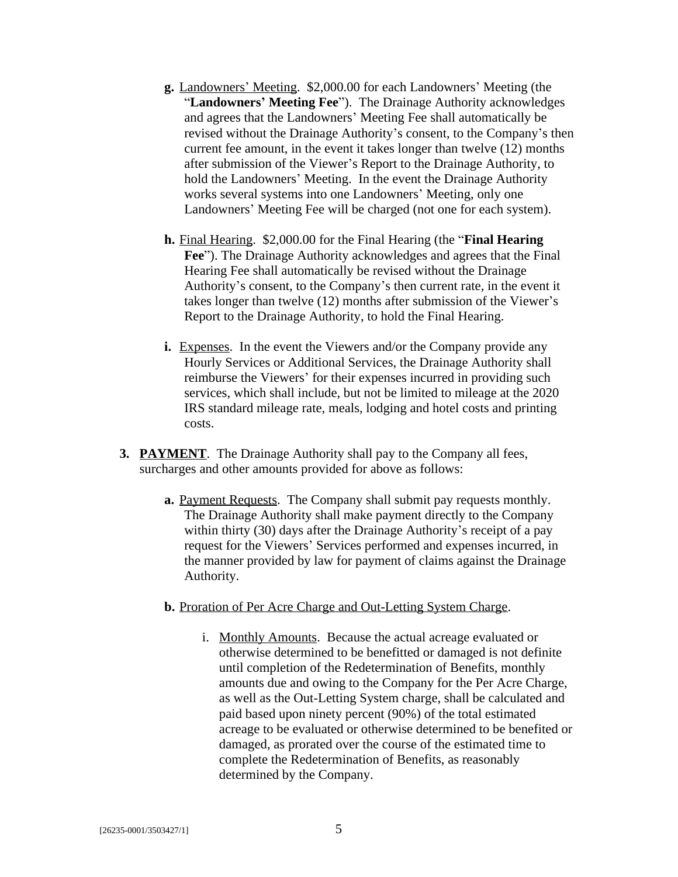- **g.** Landowners' Meeting. \$2,000.00 for each Landowners' Meeting (the "**Landowners' Meeting Fee**"). The Drainage Authority acknowledges and agrees that the Landowners' Meeting Fee shall automatically be revised without the Drainage Authority's consent, to the Company's then current fee amount, in the event it takes longer than twelve (12) months after submission of the Viewer's Report to the Drainage Authority, to hold the Landowners' Meeting. In the event the Drainage Authority works several systems into one Landowners' Meeting, only one Landowners' Meeting Fee will be charged (not one for each system).
- **h.** Final Hearing. \$2,000.00 for the Final Hearing (the "**Final Hearing Fee**"). The Drainage Authority acknowledges and agrees that the Final Hearing Fee shall automatically be revised without the Drainage Authority's consent, to the Company's then current rate, in the event it takes longer than twelve (12) months after submission of the Viewer's Report to the Drainage Authority, to hold the Final Hearing.
- **i.** Expenses. In the event the Viewers and/or the Company provide any Hourly Services or Additional Services, the Drainage Authority shall reimburse the Viewers' for their expenses incurred in providing such services, which shall include, but not be limited to mileage at the 2020 IRS standard mileage rate, meals, lodging and hotel costs and printing costs.
- **3. PAYMENT**.The Drainage Authority shall pay to the Company all fees, surcharges and other amounts provided for above as follows:
	- **a.** Payment Requests. The Company shall submit pay requests monthly. The Drainage Authority shall make payment directly to the Company within thirty (30) days after the Drainage Authority's receipt of a pay request for the Viewers' Services performed and expenses incurred, in the manner provided by law for payment of claims against the Drainage Authority.
	- **b.** Proration of Per Acre Charge and Out-Letting System Charge.
		- i. Monthly Amounts. Because the actual acreage evaluated or otherwise determined to be benefitted or damaged is not definite until completion of the Redetermination of Benefits, monthly amounts due and owing to the Company for the Per Acre Charge, as well as the Out-Letting System charge, shall be calculated and paid based upon ninety percent (90%) of the total estimated acreage to be evaluated or otherwise determined to be benefited or damaged, as prorated over the course of the estimated time to complete the Redetermination of Benefits, as reasonably determined by the Company.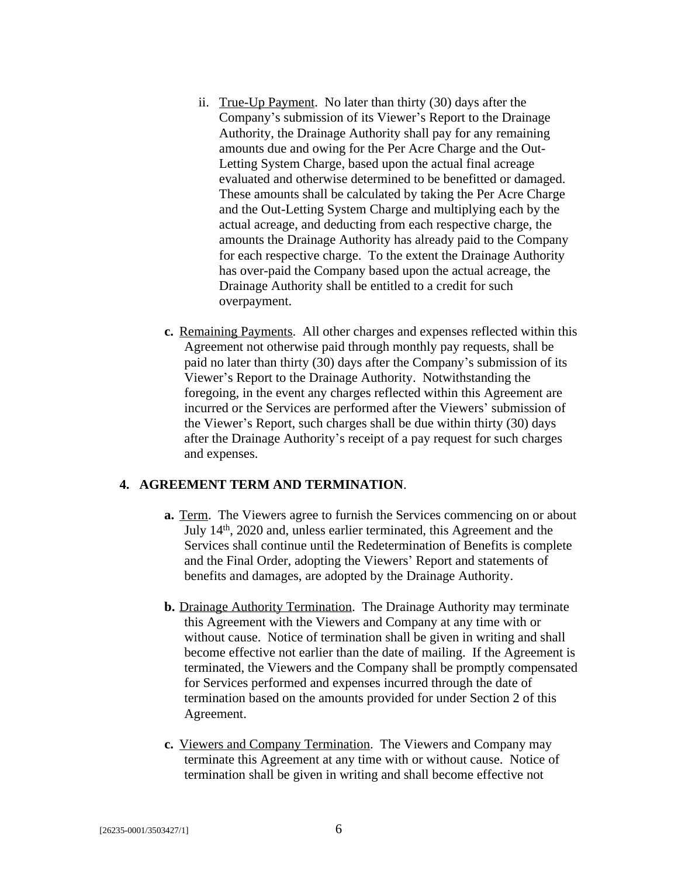- ii. True-Up Payment. No later than thirty (30) days after the Company's submission of its Viewer's Report to the Drainage Authority, the Drainage Authority shall pay for any remaining amounts due and owing for the Per Acre Charge and the Out-Letting System Charge, based upon the actual final acreage evaluated and otherwise determined to be benefitted or damaged. These amounts shall be calculated by taking the Per Acre Charge and the Out-Letting System Charge and multiplying each by the actual acreage, and deducting from each respective charge, the amounts the Drainage Authority has already paid to the Company for each respective charge. To the extent the Drainage Authority has over-paid the Company based upon the actual acreage, the Drainage Authority shall be entitled to a credit for such overpayment.
- **c.** Remaining Payments. All other charges and expenses reflected within this Agreement not otherwise paid through monthly pay requests, shall be paid no later than thirty (30) days after the Company's submission of its Viewer's Report to the Drainage Authority. Notwithstanding the foregoing, in the event any charges reflected within this Agreement are incurred or the Services are performed after the Viewers' submission of the Viewer's Report, such charges shall be due within thirty (30) days after the Drainage Authority's receipt of a pay request for such charges and expenses.

## **4. AGREEMENT TERM AND TERMINATION**.

- **a.** Term. The Viewers agree to furnish the Services commencing on or about July 14<sup>th</sup>, 2020 and, unless earlier terminated, this Agreement and the Services shall continue until the Redetermination of Benefits is complete and the Final Order, adopting the Viewers' Report and statements of benefits and damages, are adopted by the Drainage Authority.
- **b.** Drainage Authority Termination. The Drainage Authority may terminate this Agreement with the Viewers and Company at any time with or without cause. Notice of termination shall be given in writing and shall become effective not earlier than the date of mailing. If the Agreement is terminated, the Viewers and the Company shall be promptly compensated for Services performed and expenses incurred through the date of termination based on the amounts provided for under Section 2 of this Agreement.
- **c.** Viewers and Company Termination. The Viewers and Company may terminate this Agreement at any time with or without cause. Notice of termination shall be given in writing and shall become effective not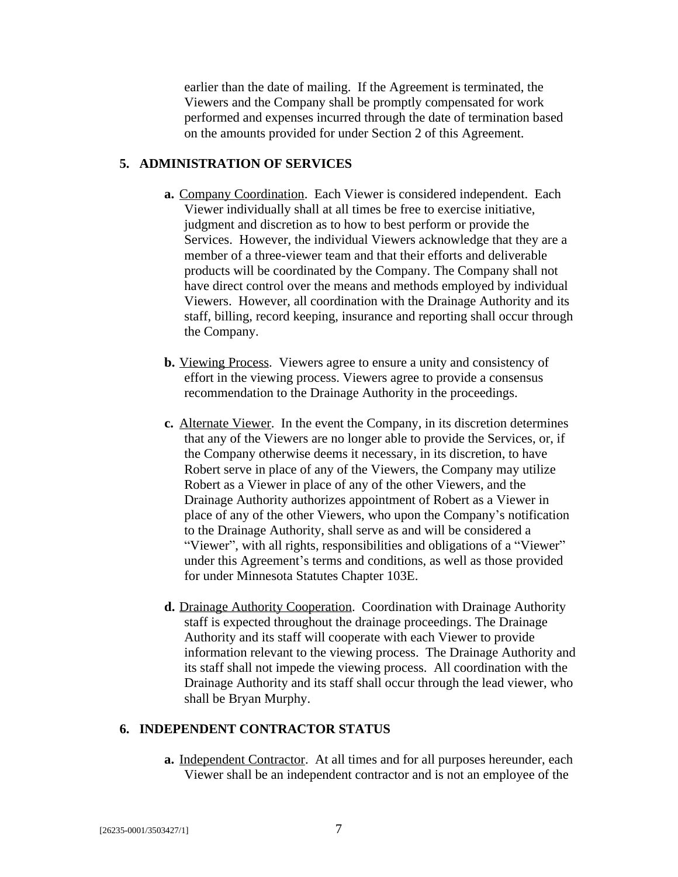earlier than the date of mailing. If the Agreement is terminated, the Viewers and the Company shall be promptly compensated for work performed and expenses incurred through the date of termination based on the amounts provided for under Section 2 of this Agreement.

#### **5. ADMINISTRATION OF SERVICES**

- **a.** Company Coordination. Each Viewer is considered independent. Each Viewer individually shall at all times be free to exercise initiative, judgment and discretion as to how to best perform or provide the Services. However, the individual Viewers acknowledge that they are a member of a three-viewer team and that their efforts and deliverable products will be coordinated by the Company. The Company shall not have direct control over the means and methods employed by individual Viewers. However, all coordination with the Drainage Authority and its staff, billing, record keeping, insurance and reporting shall occur through the Company.
- **b.** Viewing Process. Viewers agree to ensure a unity and consistency of effort in the viewing process. Viewers agree to provide a consensus recommendation to the Drainage Authority in the proceedings.
- **c.** Alternate Viewer. In the event the Company, in its discretion determines that any of the Viewers are no longer able to provide the Services, or, if the Company otherwise deems it necessary, in its discretion, to have Robert serve in place of any of the Viewers, the Company may utilize Robert as a Viewer in place of any of the other Viewers, and the Drainage Authority authorizes appointment of Robert as a Viewer in place of any of the other Viewers, who upon the Company's notification to the Drainage Authority, shall serve as and will be considered a "Viewer", with all rights, responsibilities and obligations of a "Viewer" under this Agreement's terms and conditions, as well as those provided for under Minnesota Statutes Chapter 103E.
- **d.** Drainage Authority Cooperation. Coordination with Drainage Authority staff is expected throughout the drainage proceedings. The Drainage Authority and its staff will cooperate with each Viewer to provide information relevant to the viewing process. The Drainage Authority and its staff shall not impede the viewing process. All coordination with the Drainage Authority and its staff shall occur through the lead viewer, who shall be Bryan Murphy.

#### **6. INDEPENDENT CONTRACTOR STATUS**

**a.** Independent Contractor. At all times and for all purposes hereunder, each Viewer shall be an independent contractor and is not an employee of the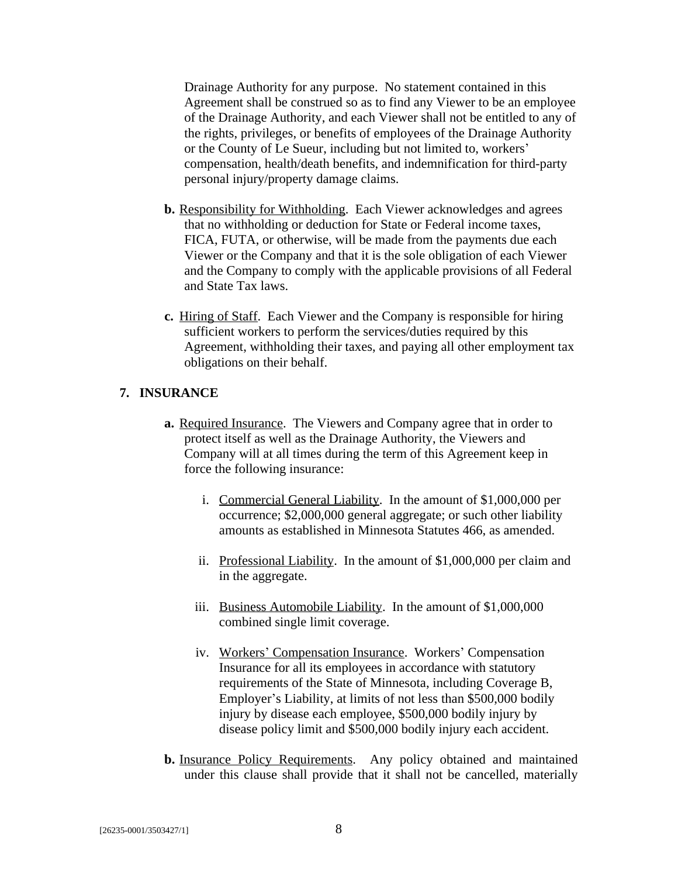Drainage Authority for any purpose. No statement contained in this Agreement shall be construed so as to find any Viewer to be an employee of the Drainage Authority, and each Viewer shall not be entitled to any of the rights, privileges, or benefits of employees of the Drainage Authority or the County of Le Sueur, including but not limited to, workers' compensation, health/death benefits, and indemnification for third-party personal injury/property damage claims.

- **b.** Responsibility for Withholding. Each Viewer acknowledges and agrees that no withholding or deduction for State or Federal income taxes, FICA, FUTA, or otherwise, will be made from the payments due each Viewer or the Company and that it is the sole obligation of each Viewer and the Company to comply with the applicable provisions of all Federal and State Tax laws.
- **c.** Hiring of Staff. Each Viewer and the Company is responsible for hiring sufficient workers to perform the services/duties required by this Agreement, withholding their taxes, and paying all other employment tax obligations on their behalf.

#### **7. INSURANCE**

- **a.** Required Insurance. The Viewers and Company agree that in order to protect itself as well as the Drainage Authority, the Viewers and Company will at all times during the term of this Agreement keep in force the following insurance:
	- i. Commercial General Liability. In the amount of \$1,000,000 per occurrence; \$2,000,000 general aggregate; or such other liability amounts as established in Minnesota Statutes 466, as amended.
	- ii. Professional Liability. In the amount of \$1,000,000 per claim and in the aggregate.
	- iii. Business Automobile Liability.In the amount of \$1,000,000 combined single limit coverage.
	- iv. Workers' Compensation Insurance. Workers' Compensation Insurance for all its employees in accordance with statutory requirements of the State of Minnesota, including Coverage B, Employer's Liability, at limits of not less than \$500,000 bodily injury by disease each employee, \$500,000 bodily injury by disease policy limit and \$500,000 bodily injury each accident.
- **b.** Insurance Policy Requirements. Any policy obtained and maintained under this clause shall provide that it shall not be cancelled, materially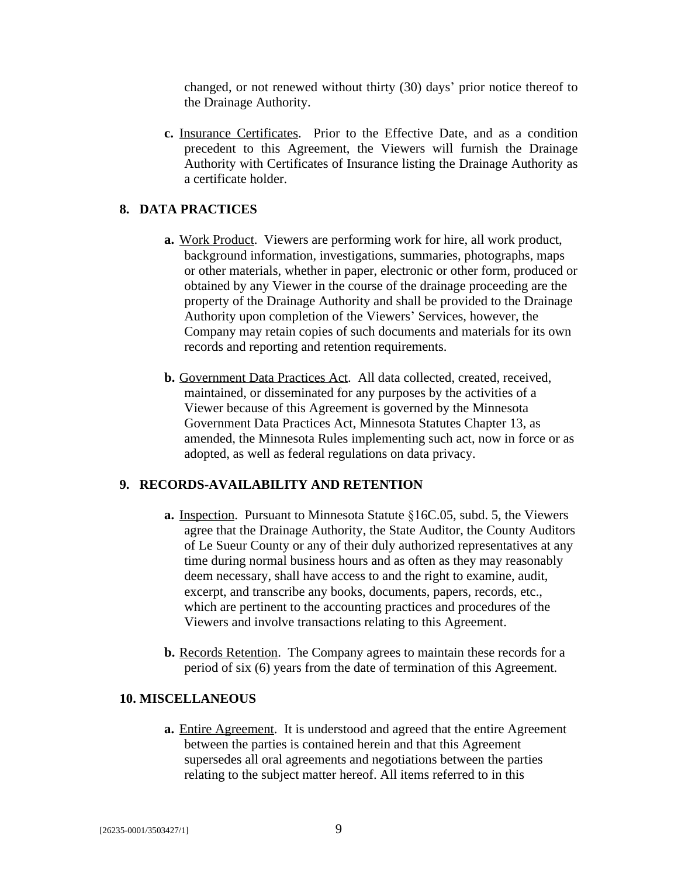changed, or not renewed without thirty (30) days' prior notice thereof to the Drainage Authority.

**c.** Insurance Certificates. Prior to the Effective Date, and as a condition precedent to this Agreement, the Viewers will furnish the Drainage Authority with Certificates of Insurance listing the Drainage Authority as a certificate holder.

## **8. DATA PRACTICES**

- **a.** Work Product. Viewers are performing work for hire, all work product, background information, investigations, summaries, photographs, maps or other materials, whether in paper, electronic or other form, produced or obtained by any Viewer in the course of the drainage proceeding are the property of the Drainage Authority and shall be provided to the Drainage Authority upon completion of the Viewers' Services, however, the Company may retain copies of such documents and materials for its own records and reporting and retention requirements.
- **b.** Government Data Practices Act. All data collected, created, received, maintained, or disseminated for any purposes by the activities of a Viewer because of this Agreement is governed by the Minnesota Government Data Practices Act, Minnesota Statutes Chapter 13, as amended, the Minnesota Rules implementing such act, now in force or as adopted, as well as federal regulations on data privacy.

#### **9. RECORDS-AVAILABILITY AND RETENTION**

- **a.** Inspection. Pursuant to Minnesota Statute §16C.05, subd. 5, the Viewers agree that the Drainage Authority, the State Auditor, the County Auditors of Le Sueur County or any of their duly authorized representatives at any time during normal business hours and as often as they may reasonably deem necessary, shall have access to and the right to examine, audit, excerpt, and transcribe any books, documents, papers, records, etc., which are pertinent to the accounting practices and procedures of the Viewers and involve transactions relating to this Agreement.
- **b.** Records Retention. The Company agrees to maintain these records for a period of six (6) years from the date of termination of this Agreement.

#### **10. MISCELLANEOUS**

**a.** Entire Agreement. It is understood and agreed that the entire Agreement between the parties is contained herein and that this Agreement supersedes all oral agreements and negotiations between the parties relating to the subject matter hereof. All items referred to in this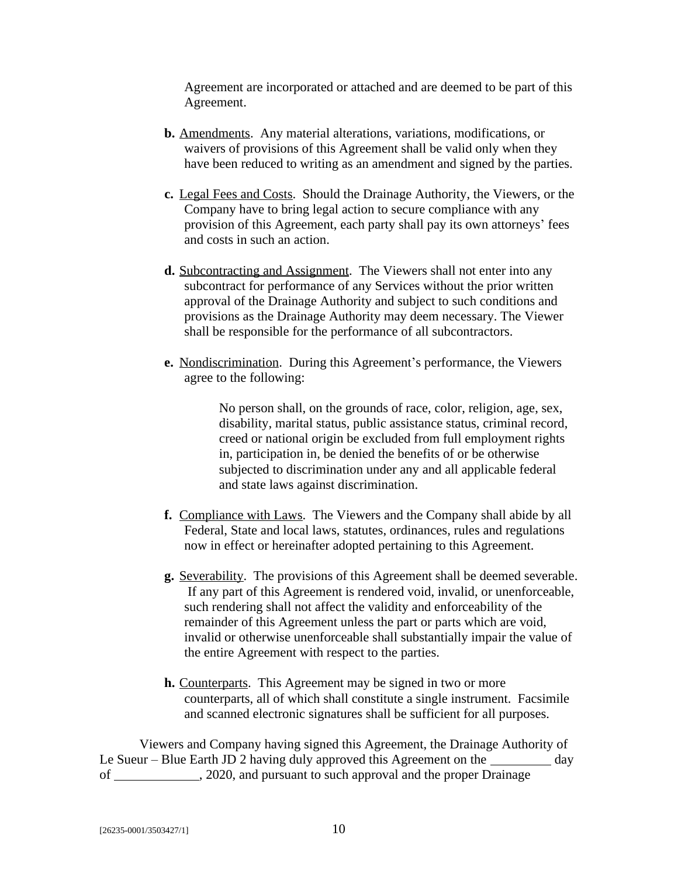Agreement are incorporated or attached and are deemed to be part of this Agreement.

- **b.** Amendments. Any material alterations, variations, modifications, or waivers of provisions of this Agreement shall be valid only when they have been reduced to writing as an amendment and signed by the parties.
- **c.** Legal Fees and Costs. Should the Drainage Authority, the Viewers, or the Company have to bring legal action to secure compliance with any provision of this Agreement, each party shall pay its own attorneys' fees and costs in such an action.
- **d.** Subcontracting and Assignment. The Viewers shall not enter into any subcontract for performance of any Services without the prior written approval of the Drainage Authority and subject to such conditions and provisions as the Drainage Authority may deem necessary. The Viewer shall be responsible for the performance of all subcontractors.
- **e.** Nondiscrimination. During this Agreement's performance, the Viewers agree to the following:

No person shall, on the grounds of race, color, religion, age, sex, disability, marital status, public assistance status, criminal record, creed or national origin be excluded from full employment rights in, participation in, be denied the benefits of or be otherwise subjected to discrimination under any and all applicable federal and state laws against discrimination.

- **f.** Compliance with Laws. The Viewers and the Company shall abide by all Federal, State and local laws, statutes, ordinances, rules and regulations now in effect or hereinafter adopted pertaining to this Agreement.
- **g.** Severability.The provisions of this Agreement shall be deemed severable. If any part of this Agreement is rendered void, invalid, or unenforceable, such rendering shall not affect the validity and enforceability of the remainder of this Agreement unless the part or parts which are void, invalid or otherwise unenforceable shall substantially impair the value of the entire Agreement with respect to the parties.
- **h.** Counterparts.This Agreement may be signed in two or more counterparts, all of which shall constitute a single instrument. Facsimile and scanned electronic signatures shall be sufficient for all purposes.

Viewers and Company having signed this Agreement, the Drainage Authority of Le Sueur – Blue Earth JD 2 having duly approved this Agreement on the  $\frac{1}{\sqrt{2\pi}}$  day of \_\_\_\_\_\_\_\_\_\_\_\_\_, 2020, and pursuant to such approval and the proper Drainage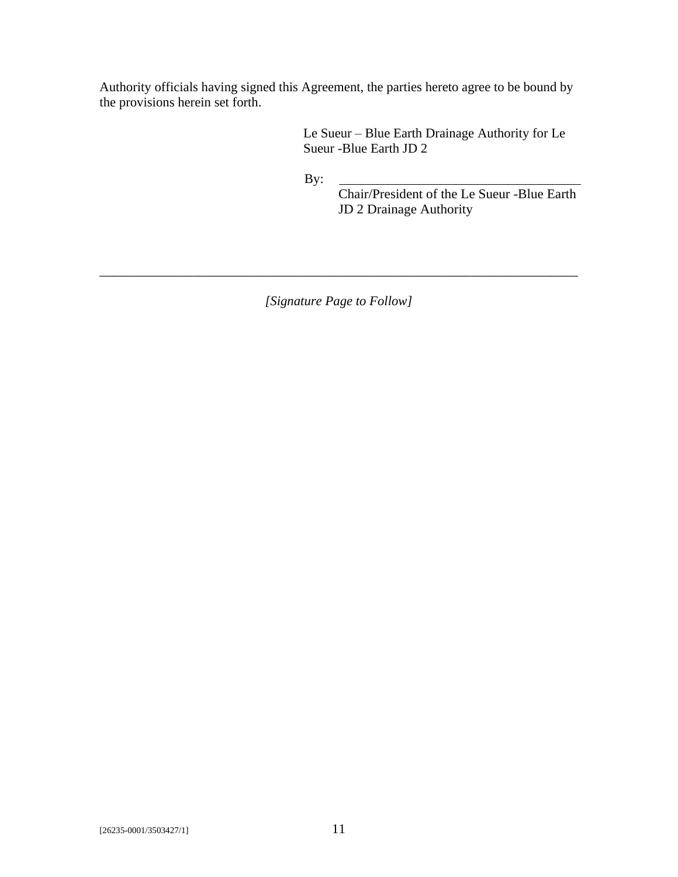Authority officials having signed this Agreement, the parties hereto agree to be bound by the provisions herein set forth.

> Le Sueur – Blue Earth Drainage Authority for Le Sueur -Blue Earth JD 2

By:

Chair/President of the Le Sueur -Blue Earth JD 2 Drainage Authority

*[Signature Page to Follow]*

\_\_\_\_\_\_\_\_\_\_\_\_\_\_\_\_\_\_\_\_\_\_\_\_\_\_\_\_\_\_\_\_\_\_\_\_\_\_\_\_\_\_\_\_\_\_\_\_\_\_\_\_\_\_\_\_\_\_\_\_\_\_\_\_\_\_\_\_\_\_\_\_